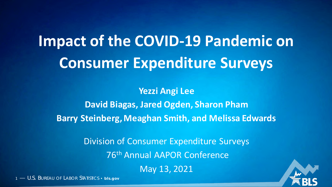# **Impact of the COVID-19 Pandemic on Consumer Expenditure Surveys**

**Yezzi Angi Lee David Biagas, Jared Ogden, Sharon Pham Barry Steinberg, Meaghan Smith, and Melissa Edwards**

> Division of Consumer Expenditure Surveys 76th Annual AAPOR Conference May 13, 2021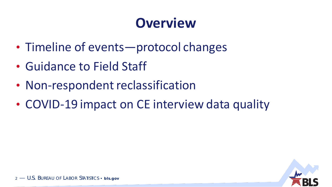# **Overview**

- Timeline of events—protocol changes
- Guidance to Field Staff
- Non-respondent reclassification
- COVID-19 impact on CE interview data quality

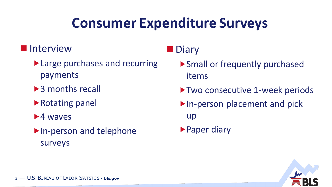# **Consumer Expenditure Surveys**

#### **Interview**

- ▶ Large purchases and recurring payments
- ▶ 3 months recall
- ▶ Rotating panel
- $\blacktriangleright$  4 waves
- ▶ In-person and telephone surveys

### **Diary**

- Small or frequently purchased items
- ▶ Two consecutive 1-week periods
- ▶ In-person placement and pick up
- ▶ Paper diary

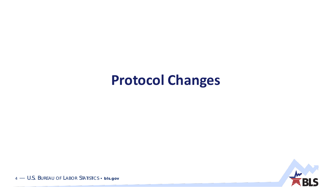### **Protocol Changes**

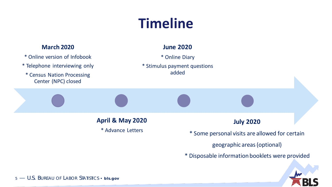# **Timeline**

#### **March 2020**

- \* Online version of Infobook
- \* Telephone interviewing only
- \* Census Nation Processing Center (NPC) closed

#### **June 2020**



**April & May 2020** \* Advance Letters

#### **July 2020**

\* Some personal visits are allowed for certain

geographic areas (optional)

\* Disposable information booklets were provided

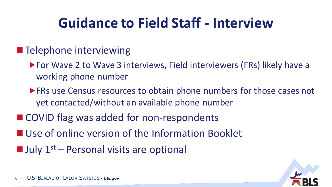# **Guidance to Field Staff - Interview**

### **Telephone interviewing**

- ▶ For Wave 2 to Wave 3 interviews, Field interviewers (FRs) likely have a working phone number
- **FRs use Census resources to obtain phone numbers for those cases not** yet contacted/without an available phone number
- COVID flag was added for non-respondents
- Use of online version of the Information Booklet
- $\blacksquare$  July 1<sup>st</sup> Personal visits are optional

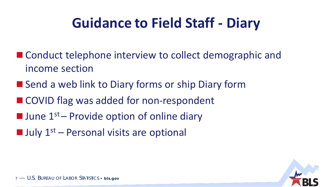# **Guidance to Field Staff - Diary**

- Conduct telephone interview to collect demographic and income section
- Send a web link to Diary forms or ship Diary form
- COVID flag was added for non-respondent
- $\blacksquare$  June  $1^\text{st}$  Provide option of online diary
- $\blacksquare$  July 1<sup>st</sup> Personal visits are optional

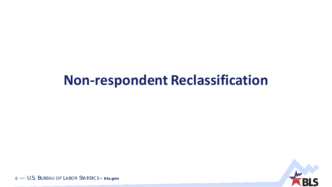### **Non-respondent Reclassification**

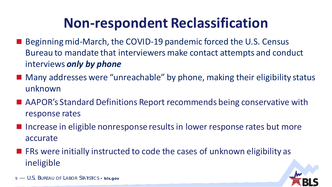# **Non-respondent Reclassification**

- Beginning mid-March, the COVID-19 pandemic forced the U.S. Census Bureau to mandate that interviewers make contact attempts and conduct interviews *only by phone*
- Many addresses were "unreachable" by phone, making their eligibility status unknown
- AAPOR's Standard Definitions Report recommends being conservative with response rates
- Increase in eligible nonresponse results in lower response rates but more accurate
- $\blacksquare$  FRs were initially instructed to code the cases of unknown eligibility as ineligible

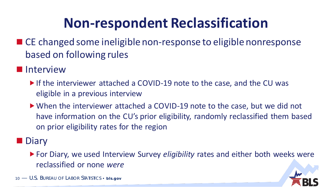# **Non-respondent Reclassification**

- CE changed some ineligible non-response to eligible nonresponse based on following rules
- **I**I Interview
	- If the interviewer attached a COVID-19 note to the case, and the CU was eligible in a previous interview
	- When the interviewer attached a COVID-19 note to the case, but we did not have information on the CU's prior eligibility, randomly reclassified them based on prior eligibility rates for the region
- **Diary** 
	- For Diary, we used Interview Survey *eligibility* rates and either both weeks were reclassified or none *were*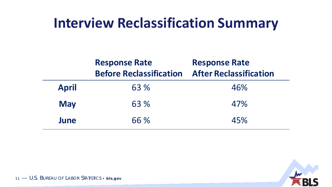### **Interview Reclassification Summary**

|              | <b>Response Rate</b><br><b>Before Reclassification</b> | <b>Response Rate</b><br><b>After Reclassification</b> |
|--------------|--------------------------------------------------------|-------------------------------------------------------|
| <b>April</b> | 63 %                                                   | 46%                                                   |
| <b>May</b>   | 63 %                                                   | 47%                                                   |
| June         | 66 %                                                   | 45%                                                   |

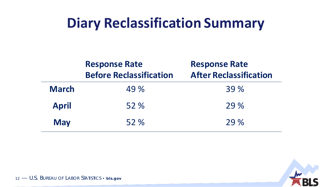### **Diary Reclassification Summary**

|              | <b>Response Rate</b><br><b>Before Reclassification</b> | <b>Response Rate</b><br><b>After Reclassification</b> |
|--------------|--------------------------------------------------------|-------------------------------------------------------|
| <b>March</b> | 49 %                                                   | 39 %                                                  |
| <b>April</b> | 52 %                                                   | 29 %                                                  |
| <b>May</b>   | 52%                                                    | 29%                                                   |

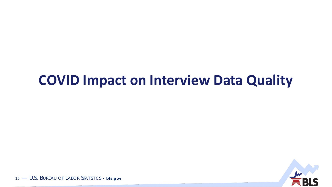### **COVID Impact on Interview Data Quality**

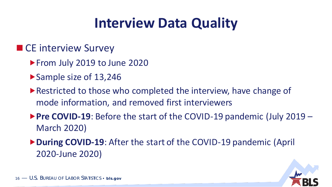# **Interview Data Quality**

#### ■ CE interview Survey

- From July 2019 to June 2020
- ▶ Sample size of 13,246
- ▶ Restricted to those who completed the interview, have change of mode information, and removed first interviewers
- ▶ Pre COVID-19: Before the start of the COVID-19 pandemic (July 2019 March 2020)
- **During COVID-19**: After the start of the COVID-19 pandemic (April 2020-June 2020)

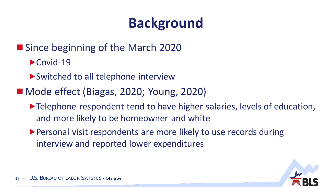# **Background**

### ■ Since beginning of the March 2020

- $\blacktriangleright$  Covid-19
- ▶ Switched to all telephone interview
- Mode effect (Biagas, 2020; Young, 2020)
	- Telephone respondent tend to have higher salaries, levels of education, and more likely to be homeowner and white
	- Personal visit respondents are more likely to use records during interview and reported lower expenditures

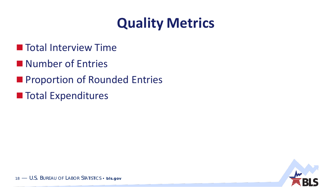# **Quality Metrics**

- **The Total Interview Time**
- Number of Entries
- Proportion of Rounded Entries
- **Total Expenditures**

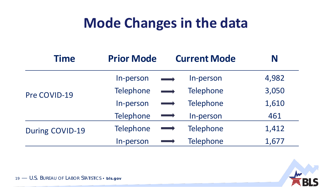# **Mode Changes in the data**

| <b>Time</b>     | <b>Prior Mode</b> | <b>Current Mode</b>                         | N     |
|-----------------|-------------------|---------------------------------------------|-------|
|                 | In-person         | In-person                                   | 4,982 |
| Pre COVID-19    | <b>Telephone</b>  | Telephone<br>$\overrightarrow{\phantom{0}}$ | 3,050 |
|                 | In-person         | Telephone                                   | 1,610 |
|                 | <b>Telephone</b>  | In-person                                   | 461   |
| During COVID-19 | Telephone         | Telephone                                   | 1,412 |
|                 | In-person         | <b>Telephone</b>                            | 1,677 |

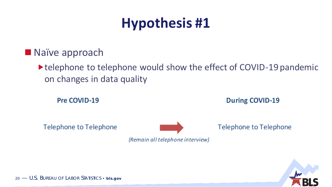# **Hypothesis #1**

**Naïve approach** 

▶ telephone to telephone would show the effect of COVID-19 pandemic on changes in data quality

Pre COVID-19

**During COVID-19** 

**Telephone to Telephone** 

**Telephone to Telephone** 



(Remain all telephone interview)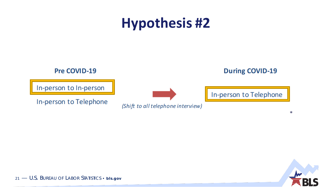## **Hypothesis #2**



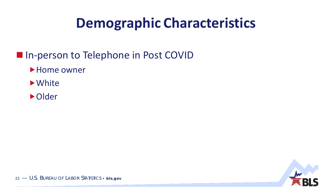# **Demographic Characteristics**

#### In-person to Telephone in Post COVID

- Home owner
- $\blacktriangleright$  White
- Older

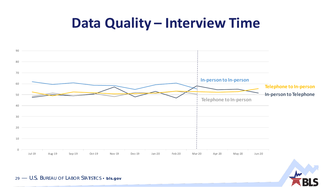### **Data Quality – Interview Time**

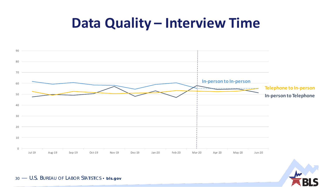### **Data Quality – Interview Time**



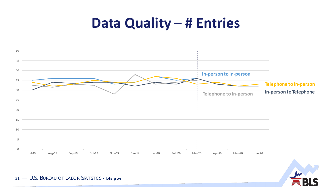### **Data Quality – # Entries**



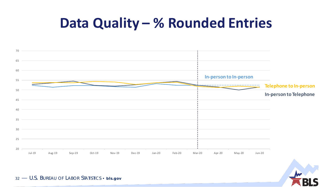### **Data Quality – % Rounded Entries**



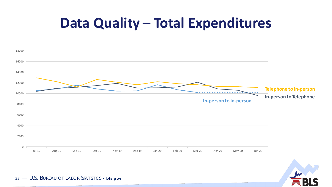### **Data Quality – Total Expenditures**

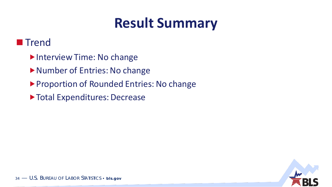# **Result Summary**

#### **Trend**

- Interview Time: No change
- Number of Entries: No change
- **Proportion of Rounded Entries: No change**
- Total Expenditures: Decrease

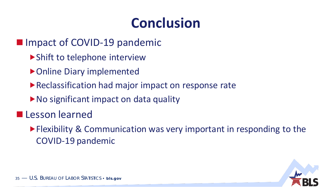# **Conclusion**

- **Impact of COVID-19 pandemic** 
	- ▶ Shift to telephone interview
	- ▶ Online Diary implemented
	- ▶ Reclassification had major impact on response rate
	- ▶ No significant impact on data quality
- **Lesson learned** 
	- **Flexibility & Communication was very important in responding to the** COVID-19 pandemic